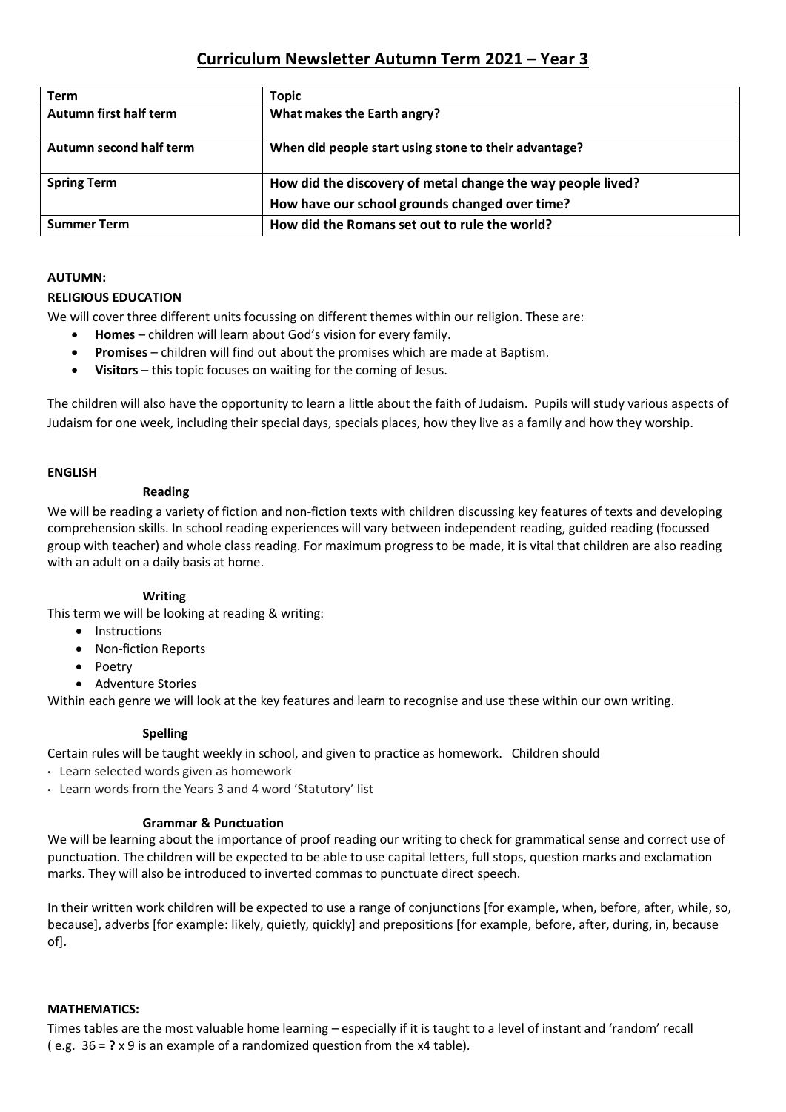# **Curriculum Newsletter Autumn Term 2021 – Year 3**

| Term                    | <b>Topic</b>                                                |
|-------------------------|-------------------------------------------------------------|
| Autumn first half term  | What makes the Earth angry?                                 |
| Autumn second half term | When did people start using stone to their advantage?       |
| <b>Spring Term</b>      | How did the discovery of metal change the way people lived? |
|                         | How have our school grounds changed over time?              |
| <b>Summer Term</b>      | How did the Romans set out to rule the world?               |

### **AUTUMN:**

### **RELIGIOUS EDUCATION**

We will cover three different units focussing on different themes within our religion. These are:

- **Homes**  children will learn about God's vision for every family.
- **Promises**  children will find out about the promises which are made at Baptism.
- **Visitors**  this topic focuses on waiting for the coming of Jesus.

The children will also have the opportunity to learn a little about the faith of Judaism. Pupils will study various aspects of Judaism for one week, including their special days, specials places, how they live as a family and how they worship.

### **ENGLISH**

### **Reading**

We will be reading a variety of fiction and non-fiction texts with children discussing key features of texts and developing comprehension skills. In school reading experiences will vary between independent reading, guided reading (focussed group with teacher) and whole class reading. For maximum progress to be made, it is vital that children are also reading with an adult on a daily basis at home.

### **Writing**

This term we will be looking at reading & writing:

- Instructions
- Non-fiction Reports
- Poetry
- Adventure Stories

Within each genre we will look at the key features and learn to recognise and use these within our own writing.

### **Spelling**

Certain rules will be taught weekly in school, and given to practice as homework. Children should

- Learn selected words given as homework
- Learn words from the Years 3 and 4 word 'Statutory' list

### **Grammar & Punctuation**

We will be learning about the importance of proof reading our writing to check for grammatical sense and correct use of punctuation. The children will be expected to be able to use capital letters, full stops, question marks and exclamation marks. They will also be introduced to inverted commas to punctuate direct speech.

In their written work children will be expected to use a range of conjunctions [for example, when, before, after, while, so, because], adverbs [for example: likely, quietly, quickly] and prepositions [for example, before, after, during, in, because of].

### **MATHEMATICS:**

Times tables are the most valuable home learning – especially if it is taught to a level of instant and 'random' recall ( e.g. 36 = **?** x 9 is an example of a randomized question from the x4 table).